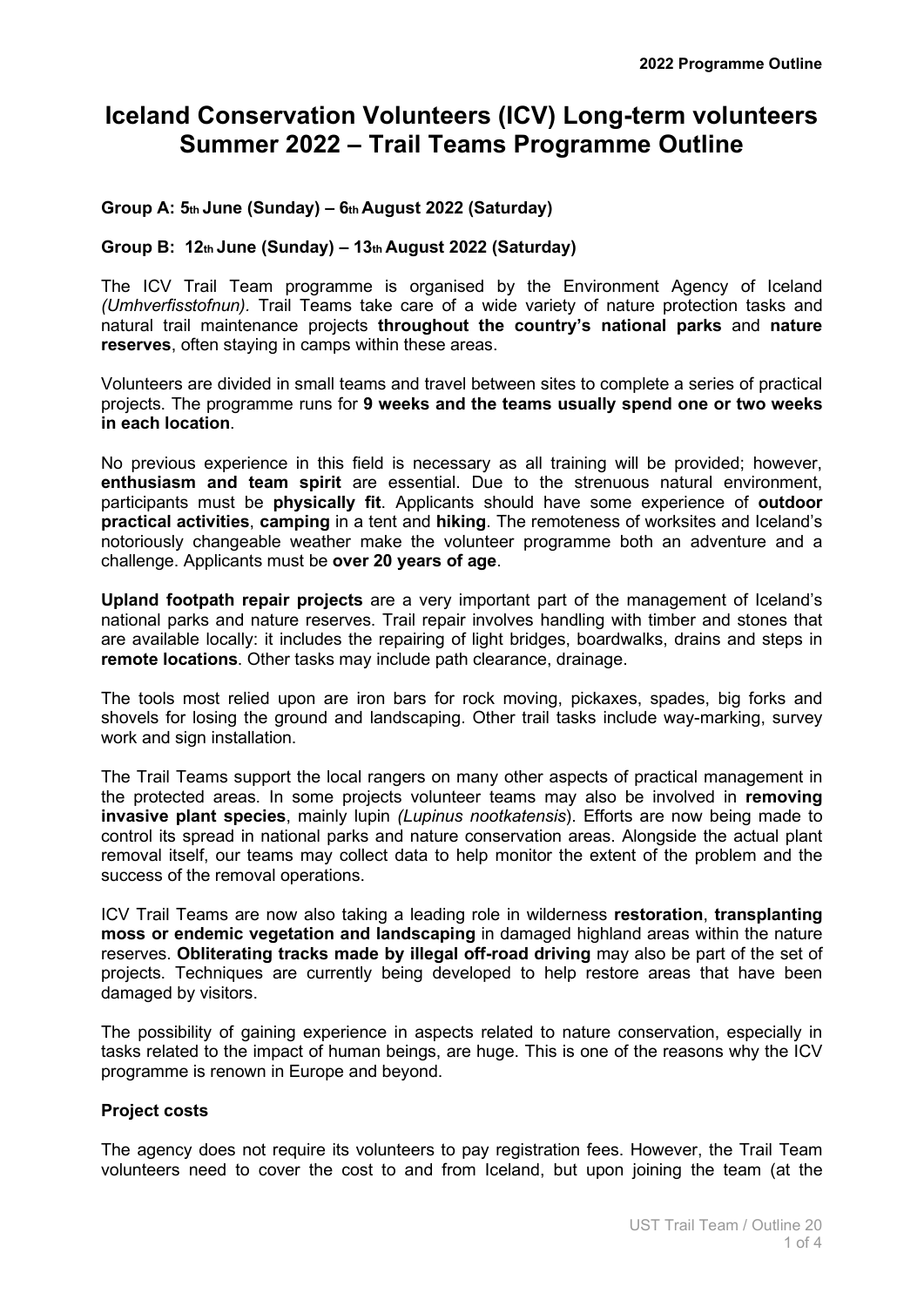# **Iceland Conservation Volunteers (ICV) Long-term volunteers Summer 2022 – Trail Teams Programme Outline**

## **Group A: 5th June (Sunday) – 6th August 2022 (Saturday)**

## **Group B: 12th June (Sunday) – 13th August 2022 (Saturday)**

The ICV Trail Team programme is organised by the Environment Agency of Iceland *(Umhverfisstofnun).* Trail Teams take care of a wide variety of nature protection tasks and natural trail maintenance projects **throughout the country's national parks** and **nature reserves**, often staying in camps within these areas.

Volunteers are divided in small teams and travel between sites to complete a series of practical projects. The programme runs for **9 weeks and the teams usually spend one or two weeks in each location**.

No previous experience in this field is necessary as all training will be provided; however, **enthusiasm and team spirit** are essential. Due to the strenuous natural environment, participants must be **physically fit**. Applicants should have some experience of **outdoor practical activities**, **camping** in a tent and **hiking**. The remoteness of worksites and Iceland's notoriously changeable weather make the volunteer programme both an adventure and a challenge. Applicants must be **over 20 years of age**.

**Upland footpath repair projects** are a very important part of the management of Iceland's national parks and nature reserves. Trail repair involves handling with timber and stones that are available locally: it includes the repairing of light bridges, boardwalks, drains and steps in **remote locations**. Other tasks may include path clearance, drainage.

The tools most relied upon are iron bars for rock moving, pickaxes, spades, big forks and shovels for losing the ground and landscaping. Other trail tasks include way-marking, survey work and sign installation.

The Trail Teams support the local rangers on many other aspects of practical management in the protected areas. In some projects volunteer teams may also be involved in **removing invasive plant species**, mainly lupin *(Lupinus nootkatensis*). Efforts are now being made to control its spread in national parks and nature conservation areas. Alongside the actual plant removal itself, our teams may collect data to help monitor the extent of the problem and the success of the removal operations.

ICV Trail Teams are now also taking a leading role in wilderness **restoration**, **transplanting moss or endemic vegetation and landscaping** in damaged highland areas within the nature reserves. **Obliterating tracks made by illegal off-road driving** may also be part of the set of projects. Techniques are currently being developed to help restore areas that have been damaged by visitors.

The possibility of gaining experience in aspects related to nature conservation, especially in tasks related to the impact of human beings, are huge. This is one of the reasons why the ICV programme is renown in Europe and beyond.

## **Project costs**

The agency does not require its volunteers to pay registration fees. However, the Trail Team volunteers need to cover the cost to and from Iceland, but upon joining the team (at the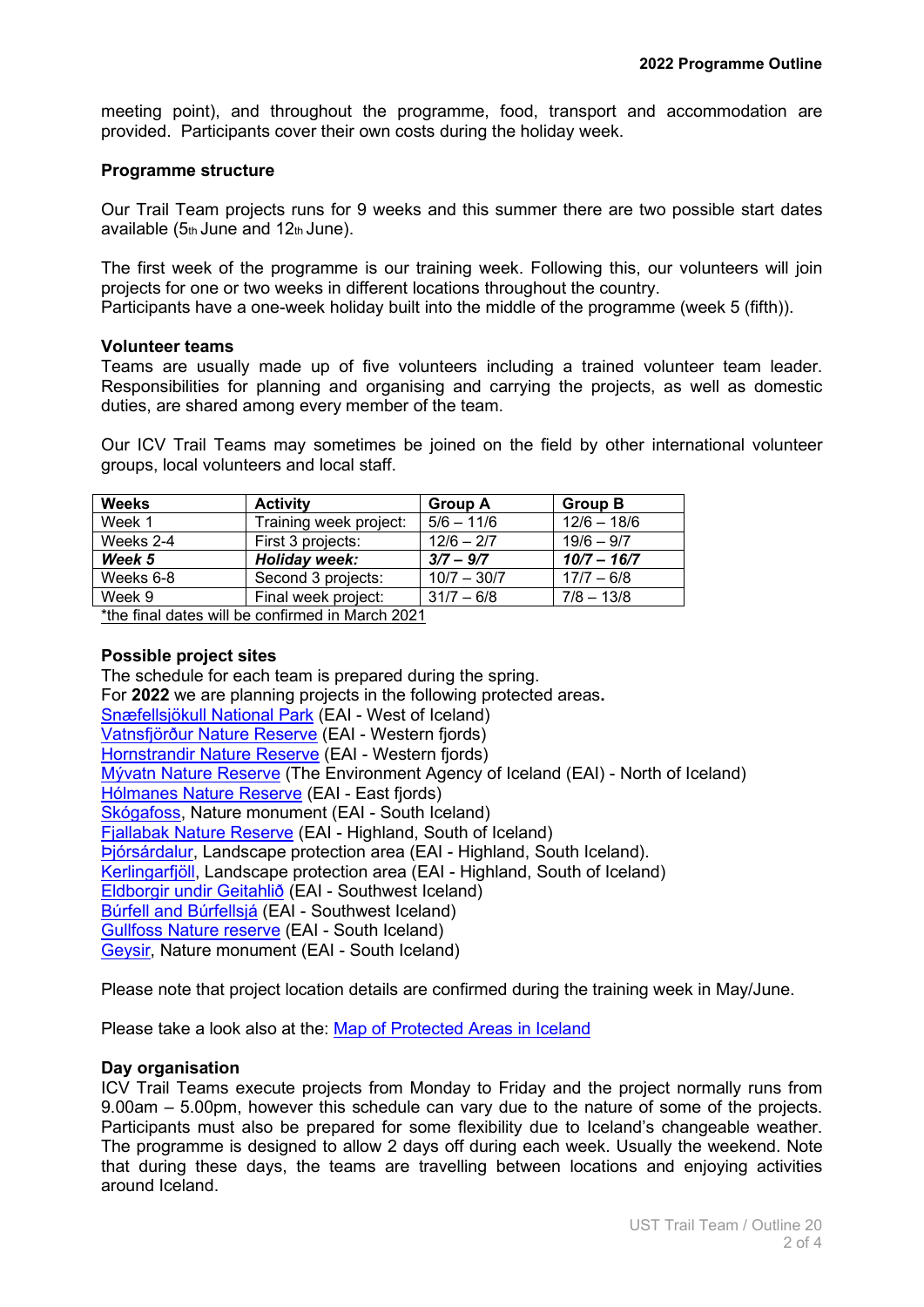meeting point), and throughout the programme, food, transport and accommodation are provided. Participants cover their own costs during the holiday week.

#### **Programme structure**

Our Trail Team projects runs for 9 weeks and this summer there are two possible start dates available  $(5<sub>th</sub>$  June and  $12<sub>th</sub>$  June).

The first week of the programme is our training week. Following this, our volunteers will join projects for one or two weeks in different locations throughout the country. Participants have a one-week holiday built into the middle of the programme (week 5 (fifth)).

#### **Volunteer teams**

Teams are usually made up of five volunteers including a trained volunteer team leader. Responsibilities for planning and organising and carrying the projects, as well as domestic duties, are shared among every member of the team.

Our ICV Trail Teams may sometimes be joined on the field by other international volunteer groups, local volunteers and local staff.

| <b>Activity</b>        | <b>Group A</b> | <b>Group B</b> |
|------------------------|----------------|----------------|
| Training week project: | $5/6 - 11/6$   | $12/6 - 18/6$  |
| First 3 projects:      | $12/6 - 2/7$   | $19/6 - 9/7$   |
| Holiday week:          | $3/7 - 9/7$    | $10/7 - 16/7$  |
| Second 3 projects:     | $10/7 - 30/7$  | $17/7 - 6/8$   |
| Final week project:    | $31/7 - 6/8$   | $7/8 - 13/8$   |
|                        |                |                |

\*the final dates will be confirmed in March 2021

## **Possible project sites**

The schedule for each team is prepared during the spring. For **2022** we are planning projects in the following protected areas**.** [Snæfellsjökull National Park](https://ust.is/english/snaefellsjokull-national-park/) (EAI - West of Iceland) [Vatnsfjörður Nature Reserve](https://ust.is/nattura/natturuverndarsvaedi/fridlyst-svaedi/vestfirdir/) (EAI - Western fjords) [Hornstrandir Nature Reserve](https://ust.is/nattura/natturuverndarsvaedi/fridlyst-svaedi/vestfirdir/hornstrandir/) (EAI - Western fjords) [Mývatn Nature Reserve](https://ust.is/english/myvatn-and-laxa/) (The Environment Agency of Iceland (EAI) - North of Iceland) [Hólmanes Nature Reserve](https://ust.is/nattura/natturuverndarsvaedi/fridlyst-svaedi/austurland/holmanes/) (EAI - East fjords) [Skógafoss,](https://ust.is/nattura/natturuverndarsvaedi/fridlyst-svaedi/sudurland/skogafoss/) Nature monument (EAI - South Iceland) [Fjallabak Nature Reserve](https://ust.is/nattura/natturuverndarsvaedi/fridlyst-svaedi/sudurland/fridland-ad-fjallabaki/) (EAI - Highland, South of Iceland) [Þjórsárdalur,](https://ust.is/nattura/natturuverndarsvaedi/fridlyst-svaedi/sudurland/svaedi-i-thjorsardal/) Landscape protection area (EAI - Highland, South Iceland). [Kerlingarfjöll,](https://ust.is/nattura/natturuverndarsvaedi/fridlyst-svaedi/sudurland/kerlingarfjoll/) Landscape protection area (EAI - Highland, South of Iceland) [Eldborgir undir Geitahlið](https://ust.is/nattura/natturuverndarsvaedi/fridlyst-svaedi/sudvesturland/eldborg-vid-geitahlid/) (EAI - Southwest Iceland) [Búrfell and Búrfellsjá](https://ust.is/nattura/natturuverndarsvaedi/fridlyst-svaedi/sudvesturland/burfell-gardabae/) (EAI - Southwest Iceland) [Gullfoss Nature reserve](https://ust.is/nattura/natturuverndarsvaedi/fridlyst-svaedi/sudurland/gullfoss/) (EAI - South Iceland) [Geysir,](https://ust.is/nattura/natturuverndarsvaedi/fridlyst-svaedi/sudurland/geysissvaedid/) Nature monument (EAI - South Iceland)

Please note that project location details are confirmed during the training week in May/June.

Please take a look also at the: [Map of Protected Areas in Iceland](https://ust.is/english/nature-conservations/map/)

#### **Day organisation**

ICV Trail Teams execute projects from Monday to Friday and the project normally runs from 9.00am – 5.00pm, however this schedule can vary due to the nature of some of the projects. Participants must also be prepared for some flexibility due to Iceland's changeable weather. The programme is designed to allow 2 days off during each week. Usually the weekend. Note that during these days, the teams are travelling between locations and enjoying activities around Iceland.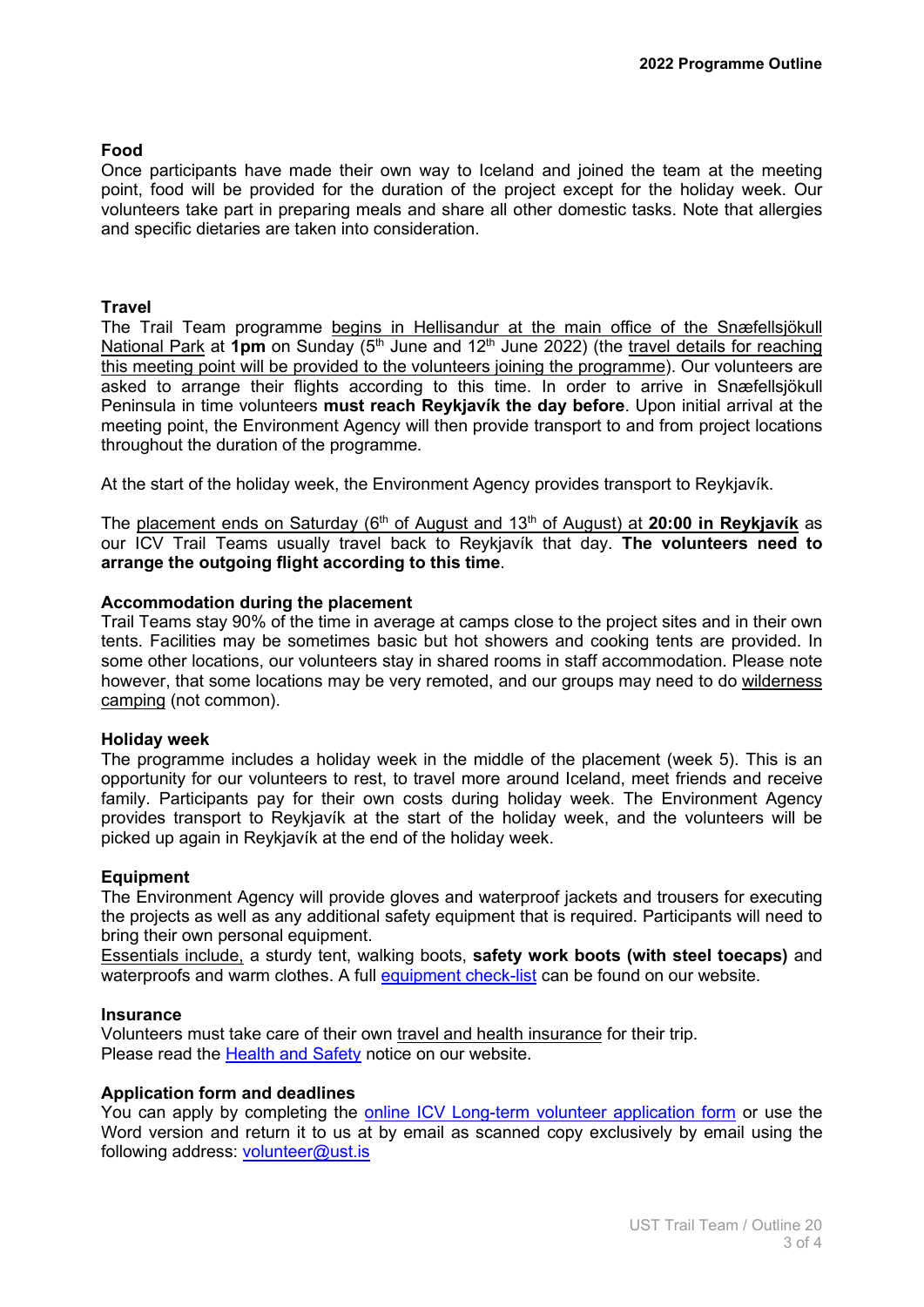## **Food**

Once participants have made their own way to Iceland and joined the team at the meeting point, food will be provided for the duration of the project except for the holiday week. Our volunteers take part in preparing meals and share all other domestic tasks. Note that allergies and specific dietaries are taken into consideration.

#### **Travel**

The Trail Team programme begins in Hellisandur at the main office of the Snæfellsjökull National Park at 1pm on Sunday (5<sup>th</sup> June and 12<sup>th</sup> June 2022) (the travel details for reaching this meeting point will be provided to the volunteers joining the programme). Our volunteers are asked to arrange their flights according to this time. In order to arrive in Snæfellsjökull Peninsula in time volunteers **must reach Reykjavík the day before**. Upon initial arrival at the meeting point, the Environment Agency will then provide transport to and from project locations throughout the duration of the programme.

At the start of the holiday week, the Environment Agency provides transport to Reykjavík.

The placement ends on Saturday (6<sup>th</sup> of August and 13<sup>th</sup> of August) at 20:00 in Reykjavík as our ICV Trail Teams usually travel back to Reykjavík that day. **The volunteers need to arrange the outgoing flight according to this time**.

### **Accommodation during the placement**

Trail Teams stay 90% of the time in average at camps close to the project sites and in their own tents. Facilities may be sometimes basic but hot showers and cooking tents are provided. In some other locations, our volunteers stay in shared rooms in staff accommodation. Please note however, that some locations may be very remoted, and our groups may need to do wilderness camping (not common).

#### **Holiday week**

The programme includes a holiday week in the middle of the placement (week 5). This is an opportunity for our volunteers to rest, to travel more around Iceland, meet friends and receive family. Participants pay for their own costs during holiday week. The Environment Agency provides transport to Reykjavík at the start of the holiday week, and the volunteers will be picked up again in Reykjavík at the end of the holiday week.

#### **Equipment**

The Environment Agency will provide gloves and waterproof jackets and trousers for executing the projects as well as any additional safety equipment that is required. Participants will need to bring their own personal equipment.

Essentials include, a sturdy tent, walking boots, **safety work boots (with steel toecaps)** and waterproofs and warm clothes. A full [equipment check-list](https://www.ust.is/library/Skrar/Baeklingar/Enska-UST/11_vol_info_PR_Terms.pdf) can be found on our website.

#### **Insurance**

Volunteers must take care of their own travel and health insurance for their trip. Please read the [Health and Safety](https://www.ust.is/library/Skrar/Baeklingar/Enska-UST/11_vol_info_PR_Health.pdf) notice on our website.

#### **Application form and deadlines**

You can apply by completing the online [ICV Long-term volunteer application form](https://www.ust.is/english/volunteers/long-term-volunteer-application-form/) or use the Word version and return it to us at by email as scanned copy exclusively by email using the following address: [volunteer@ust.is](mailto:volunteer@ust.is)